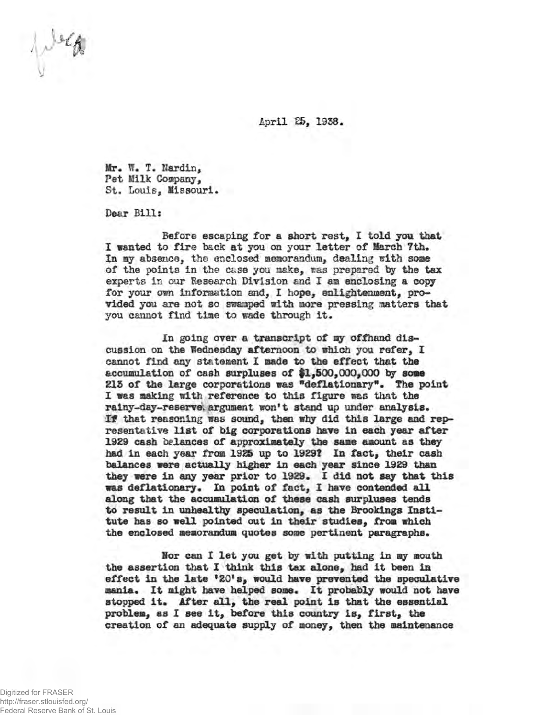April 25, 1938.

**lir\* If. T. Hardin,** Pet Milk Company, St. Louis, Missouri.

Dear Bills

Before escaping for a short rest, I told you that I wanted to fire back at you on your letter of March ?th. **In** ay absence, the enclosed memorandum, dealing with some of the points in the case you make, was prepared by the tax experts in our Research Division and I am enclosing a copy for your own information and, I hope, enlightenment, provided you are not so swamped with more pressing matters that you cannot find time to wade through it.

**In going over a transcript of my offhand discussion on the Wednesday afternoon to which you refer, I cannot find any statement I made to the effect that the accumulation of cash surpluses of #1,500,000,000 by some SIS of the large corporations was "deflationary\*\* The point I was making with reference to this figure was that the rainy-day-reserve; argument won't stand up under analysis. If that reasoning was sound, then why did this large and representative list of big corporations have in each year after 1929 cash balances of approximately the same amount as they had in each year from 1925 up to 1929? In fact, their cash balances were actually higher in each year since 1929 than they were in any year prior to 1929. 1 did not say that this was deflationary. In point of fact, 1 have contended all along that the accumulation of these cash surpluses tends to result in unhealthy speculation, as the Brookings Institute has so well pointed out in their studies, from which the enclosed memorandum quotes some pertinent paragraphs.**

**Nor can I let you get by with putting in my mouth the assertion that I think this tax alone, had it been in effect in the late \*20\*8, would have prevented the speculative mania. It might have helped some. It probably would not have** stopped it. After all, the real point is that the essential **problem, as I see it, before this country is, first, the creation of an adequate supply of money, then the maintenance**